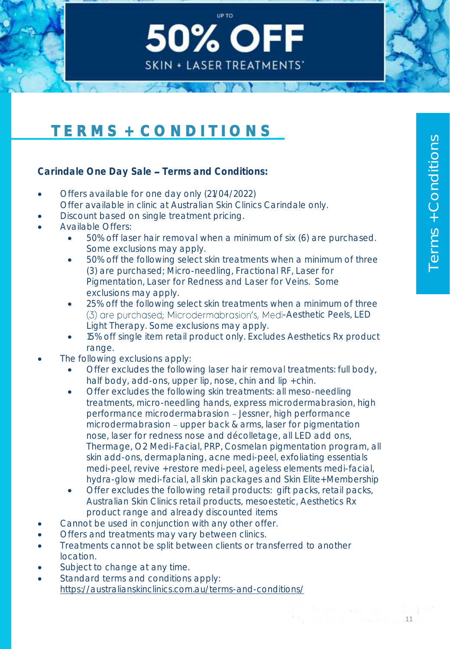# T E R M S + C O N D I T I O N S

Carindale One Day Sale - Terms and Conditions:

- Offers available for one day only (21/04/2022) Offer available in clinic at Australian Skin Clinics Carindale only.
- Discount based on single treatment pricing.
- Available Offers:
	- 50% off laser hair removal when a minimum of six (6) are purchased. Some exclusions may apply.

Up to

**50% OFF** 

**SKIN + LASER TREATMENTS'** 

- 50% off the following select skin treatments when a minimum of three (3) are purchased; Micro-needling, Fractional RF, Laser for Pigmentation, Laser for Redness and Laser for Veins. Some exclusions may apply.
- 25% off the following select skin treatments when a minimum of three (3) are purchased; Microdermabrasion's, Medi-Aesthetic Peels, LED Light Therapy. Some exclusions may apply.
- 15% off single item retail product only. Excludes Aesthetics Rx product range.
- The following exclusions apply:
	- Offer excludes the following laser hair removal treatments: full body, half body, add-ons, upper lip, nose, chin and lip + chin.
	- Offer excludes the following skin treatments: all meso-needling treatments, micro-needling hands, express microdermabrasion, high performance microdermabrasion - Jessner, high performance microdermabrasion - upper back & arms, laser for pigmentation nose, laser for redness nose and décolletage, all LED add ons, Thermage, O2 Medi-Facial, PRP, Cosmelan pigmentation program, all skin add-ons, dermaplaning, acne medi-peel, exfoliating essentials medi-peel, revive + restore medi-peel, ageless elements medi-facial, hydra-glow medi-facial, all skin packages and Skin Elite+ Membership
	- Offer excludes the following retail products: gift packs, retail packs, Australian Skin Clinics retail products, mesoestetic, Aesthetics Rx product range and already discounted items
- Cannot be used in conjunction with any other offer.
- Offers and treatments may vary between clinics.
- Treatments cannot be split between clients or transferred to another location.
- Subject to change at any time.
- Standard terms and conditions apply: <https://australianskinclinics.com.au/terms-and-conditions/>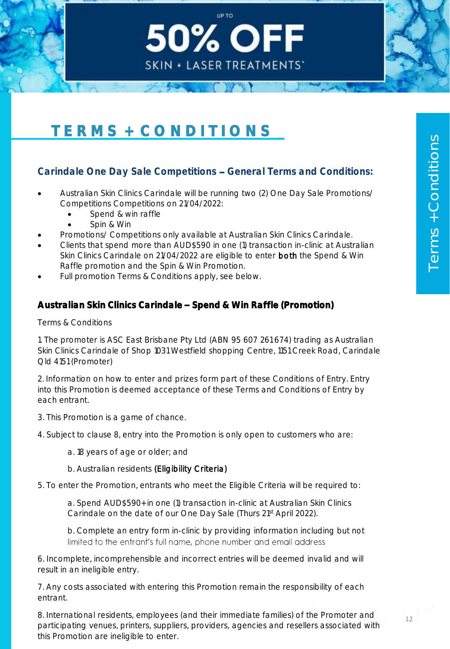# T E R M S + C O N D I T I O N S

### Carindale One Day Sale Competitions - General Terms and Conditions:

Up to

50% OFF

**SKIN + LASER TREATMENTS'** 

- Australian Skin Clinics Carindale will be running two (2) One Day Sale Promotions/ Competitions Competitions on 21/04/2022:
	- Spend & win raffle
	- Spin & Win
- Promotions/ Competitions only available at Australian Skin Clinics Carindale.
- Clients that spend more than AUD\$590 in one (1) transaction in-clinic at Australian Skin Clinics Carindale on 21/04/2022 are eligible to enter both the Spend & Win Raffle promotion and the Spin & Win Promotion.
- Full promotion Terms & Conditions apply, see below.

#### Australian Skin Clinics Carindale - Spend & Win Raffle (Promotion)

Terms & Conditions

1. The promoter is ASC East Brisbane Pty Ltd (ABN 95 607 261 674) trading as Australian Skin Clinics Carindale of Shop 1031 Westfield shopping Centre, 1151 Creek Road, Carindale Qld 4151 (Promoter)

2. Information on how to enter and prizes form part of these Conditions of Entry. Entry into this Promotion is deemed acceptance of these Terms and Conditions of Entry by each entrant.

3. This Promotion is a game of chance.

4. Subject to clause 8, entry into the Promotion is only open to customers who are:

a. 18 years of age or older; and

b. Australian residents (Eligibility Criteria)

5. To enter the Promotion, entrants who meet the Eligible Criteria will be required to:

a. Spend AUD\$590+ in one (1) transaction in-clinic at Australian Skin Clinics Carindale on the date of our One Day Sale (Thurs 21st April 2022).

b. Complete an entry form in-clinic by providing information including but not limited to the entrant's full name, phone number and email address

6. Incomplete, incomprehensible and incorrect entries will be deemed invalid and will result in an ineligible entry.

7. Any costs associated with entering this Promotion remain the responsibility of each entrant.

8. International residents, employees (and their immediate families) of the Promoter and participating venues, printers, suppliers, providers, agencies and resellers associated with this Promotion are ineligible to enter.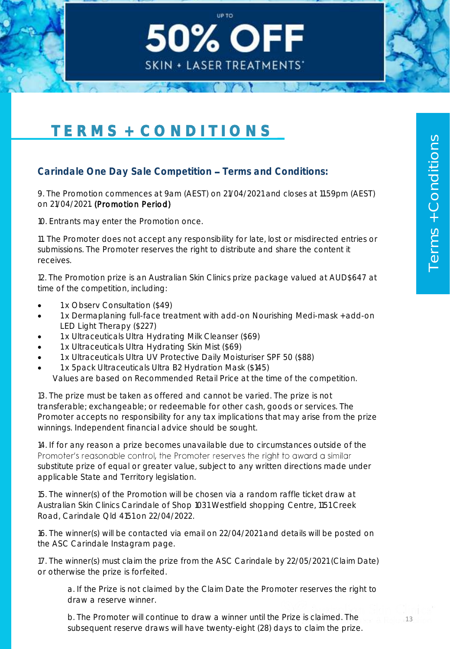

### Carindale One Day Sale Competition - Terms and Conditions:

9. The Promotion commences at 9am (AEST) on 21/04/2021 and closes at 11.59pm (AEST) on 21/04/2021. (Promotion Period)

Up to

**50% OFF** 

**SKIN + LASER TREATMENTS'** 

10. Entrants may enter the Promotion once.

11. The Promoter does not accept any responsibility for late, lost or misdirected entries or submissions. The Promoter reserves the right to distribute and share the content it receives.

12. The Promotion prize is an Australian Skin Clinics prize package valued at AUD\$647 at time of the competition, including:

- 1 x Observ Consultation (\$49)
- 1 x Dermaplaning full-face treatment with add-on Nourishing Medi-mask + add-on LED Light Therapy (\$227)
- 1 x Ultraceuticals Ultra Hydrating Milk Cleanser (\$69)
- 1 x Ultraceuticals Ultra Hydrating Skin Mist (\$69)
- 1 x Ultraceuticals Ultra UV Protective Daily Moisturiser SPF 50 (\$88)
- 1 x 5pack Ultraceuticals Ultra B2 Hydration Mask (\$145)

Values are based on Recommended Retail Price at the time of the competition.

13. The prize must be taken as offered and cannot be varied. The prize is not transferable; exchangeable; or redeemable for other cash, goods or services. The Promoter accepts no responsibility for any tax implications that may arise from the prize winnings. Independent financial advice should be sought.

14. If for any reason a prize becomes unavailable due to circumstances outside of the Promoter's reasonable control, the Promoter reserves the right to award a similar substitute prize of equal or greater value, subject to any written directions made under applicable State and Territory legislation.

15. The winner(s) of the Promotion will be chosen via a random raffle ticket draw at Australian Skin Clinics Carindale of Shop 1031 Westfield shopping Centre, 1151 Creek Road, Carindale Qld 4151 on 22/04/2022.

16. The winner(s) will be contacted via email on 22/04/2021 and details will be posted on the ASC Carindale Instagram page.

17. The winner(s) must claim the prize from the ASC Carindale by 22/05/2021 (Claim Date) or otherwise the prize is forfeited.

a. If the Prize is not claimed by the Claim Date the Promoter reserves the right to draw a reserve winner.

b. The Promoter will continue to draw a winner until the Prize is claimed. The subsequent reserve draws will have twenty-eight (28) days to claim the prize.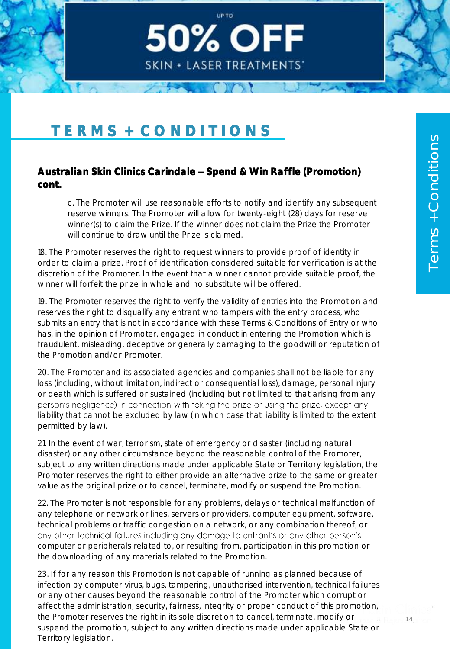

#### Australian Skin Clinics Carindale - Spend & Win Raffle (Promotion) cont.

c. The Promoter will use reasonable efforts to notify and identify any subsequent reserve winners. The Promoter will allow for twenty-eight (28) days for reserve winner(s) to claim the Prize. If the winner does not claim the Prize the Promoter will continue to draw until the Prize is claimed.

Up to

**50% OFF** 

**SKIN + LASER TREATMENTS'** 

18. The Promoter reserves the right to request winners to provide proof of identity in order to claim a prize. Proof of identification considered suitable for verification is at the discretion of the Promoter. In the event that a winner cannot provide suitable proof, the winner will forfeit the prize in whole and no substitute will be offered.

19. The Promoter reserves the right to verify the validity of entries into the Promotion and reserves the right to disqualify any entrant who tampers with the entry process, who submits an entry that is not in accordance with these Terms & Conditions of Entry or who has, in the opinion of Promoter, engaged in conduct in entering the Promotion which is fraudulent, misleading, deceptive or generally damaging to the goodwill or reputation of the Promotion and/or Promoter.

20. The Promoter and its associated agencies and companies shall not be liable for any loss (including, without limitation, indirect or consequential loss), damage, personal injury or death which is suffered or sustained (including but not limited to that arising from any person's negligence) in connection with taking the prize or using the prize, except any liability that cannot be excluded by law (in which case that liability is limited to the extent permitted by law).

21. In the event of war, terrorism, state of emergency or disaster (including natural disaster) or any other circumstance beyond the reasonable control of the Promoter, subject to any written directions made under applicable State or Territory legislation, the Promoter reserves the right to either provide an alternative prize to the same or greater value as the original prize or to cancel, terminate, modify or suspend the Promotion.

22. The Promoter is not responsible for any problems, delays or technical malfunction of any telephone or network or lines, servers or providers, computer equipment, software, technical problems or traffic congestion on a network, or any combination thereof, or any other technical failures including any damage to entrant's or any other person's computer or peripherals related to, or resulting from, participation in this promotion or the downloading of any materials related to the Promotion.

23. If for any reason this Promotion is not capable of running as planned because of infection by computer virus, bugs, tampering, unauthorised intervention, technical failures or any other causes beyond the reasonable control of the Promoter which corrupt or affect the administration, security, fairness, integrity or proper conduct of this promotion, the Promoter reserves the right in its sole discretion to cancel, terminate, modify or suspend the promotion, subject to any written directions made under applicable State or Territory legislation.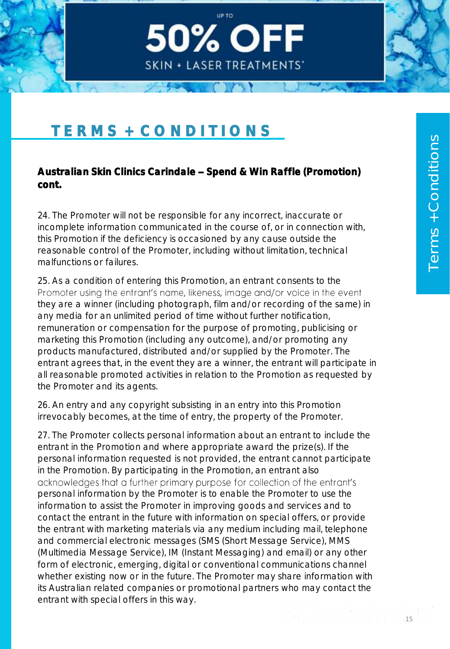# TERMS + CONDITIONS

### Australian Skin Clinics Carindale - Spend & Win Raffle (Promotion) cont.

Up to

**50% OFF** 

**SKIN + LASER TREATMENTS'** 

24. The Promoter will not be responsible for any incorrect, inaccurate or incomplete information communicated in the course of, or in connection with, this Promotion if the deficiency is occasioned by any cause outside the reasonable control of the Promoter, including without limitation, technical malfunctions or failures.

25. As a condition of entering this Promotion, an entrant consents to the Promoter using the entrant's name, likeness, image and/or voice in the event they are a winner (including photograph, film and/or recording of the same) in any media for an unlimited period of time without further notification, remuneration or compensation for the purpose of promoting, publicising or marketing this Promotion (including any outcome), and/or promoting any products manufactured, distributed and/or supplied by the Promoter. The entrant agrees that, in the event they are a winner, the entrant will participate in all reasonable promoted activities in relation to the Promotion as requested by the Promoter and its agents.

26. An entry and any copyright subsisting in an entry into this Promotion irrevocably becomes, at the time of entry, the property of the Promoter.

27. The Promoter collects personal information about an entrant to include the entrant in the Promotion and where appropriate award the prize(s). If the personal information requested is not provided, the entrant cannot participate in the Promotion. By participating in the Promotion, an entrant also acknowledges that a further primary purpose for collection of the entrant's personal information by the Promoter is to enable the Promoter to use the information to assist the Promoter in improving goods and services and to contact the entrant in the future with information on special offers, or provide the entrant with marketing materials via any medium including mail, telephone and commercial electronic messages (SMS (Short Message Service), MMS (Multimedia Message Service), IM (Instant Messaging) and email) or any other form of electronic, emerging, digital or conventional communications channel whether existing now or in the future. The Promoter may share information with its Australian related companies or promotional partners who may contact the entrant with special offers in this way.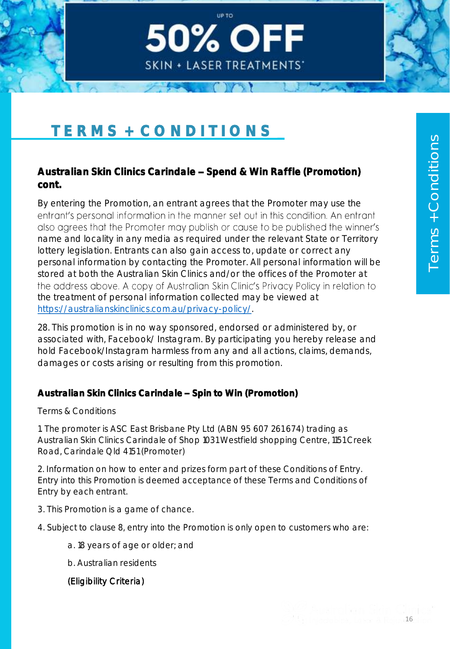

### Australian Skin Clinics Carindale - Spend & Win Raffle (Promotion) cont.

Up to

**50% OFF** 

**SKIN + LASER TREATMENTS'** 

By entering the Promotion, an entrant agrees that the Promoter may use the entrant's personal information in the manner set out in this condition. An entrant also agrees that the Promoter may publish or cause to be published the winner's name and locality in any media as required under the relevant State or Territory lottery legislation. Entrants can also gain access to, update or correct any personal information by contacting the Promoter. All personal information will be stored at both the Australian Skin Clinics and/or the offices of the Promoter at the address above. A copy of Australian Skin Clinic's Privacy Policy in relation to the treatment of personal information collected may be viewed at [https://australianskinclinics.com.au/privacy-policy/.](https://australianskinclinics.com.au/privacy-policy/)

28. This promotion is in no way sponsored, endorsed or administered by, or associated with, Facebook/ Instagram. By participating you hereby release and hold Facebook/Instagram harmless from any and all actions, claims, demands, damages or costs arising or resulting from this promotion.

#### Australian Skin Clinics Carindale - Spin to Win (Promotion)

Terms & Conditions

1. The promoter is ASC East Brisbane Pty Ltd (ABN 95 607 261 674) trading as Australian Skin Clinics Carindale of Shop 1031 Westfield shopping Centre, 1151 Creek Road, Carindale Qld 4151 (Promoter)

2. Information on how to enter and prizes form part of these Conditions of Entry. Entry into this Promotion is deemed acceptance of these Terms and Conditions of Entry by each entrant.

- 3. This Promotion is a game of chance.
- 4. Subject to clause 8, entry into the Promotion is only open to customers who are:
	- a. 18 years of age or older; and
	- b. Australian residents

#### (Eligibility Criteria)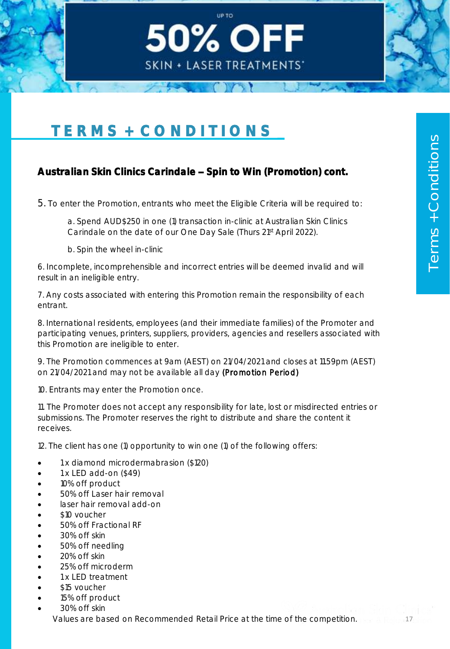# T E R M S + C O N D I T I O N S

# Australian Skin Clinics Carindale - Spin to Win (Promotion) cont.

5. To enter the Promotion, entrants who meet the Eligible Criteria will be required to:

a. Spend AUD\$250 in one (1) transaction in-clinic at Australian Skin Clinics Carindale on the date of our One Day Sale (Thurs 21st April 2022).

Up to

50% OFF

**SKIN + LASER TREATMENTS'** 

b. Spin the wheel in-clinic

6. Incomplete, incomprehensible and incorrect entries will be deemed invalid and will result in an ineligible entry.

7. Any costs associated with entering this Promotion remain the responsibility of each entrant.

8. International residents, employees (and their immediate families) of the Promoter and participating venues, printers, suppliers, providers, agencies and resellers associated with this Promotion are ineligible to enter.

9. The Promotion commences at 9am (AEST) on 21/04/2021 and closes at 11.59pm (AEST) on 21/04/2021 and may not be available all day (Promotion Period)

10. Entrants may enter the Promotion once.

11. The Promoter does not accept any responsibility for late, lost or misdirected entries or submissions. The Promoter reserves the right to distribute and share the content it receives.

12. The client has one (1) opportunity to win one (1) of the following offers:

- 1 x diamond microdermabrasion (\$120)
- $1 \times$  LED add-on  $(\$49)$
- 10% off product
- 50% off Laser hair removal
- laser hair removal add-on
- \$10 voucher
- 50% off Fractional RF
- 30% off skin
- 50% off needling
- 20% off skin
- 25% off microderm
- 1 x LED treatment
- \$15 voucher
- 15% off product
- 30% off skin

Values are based on Recommended Retail Price at the time of the competition.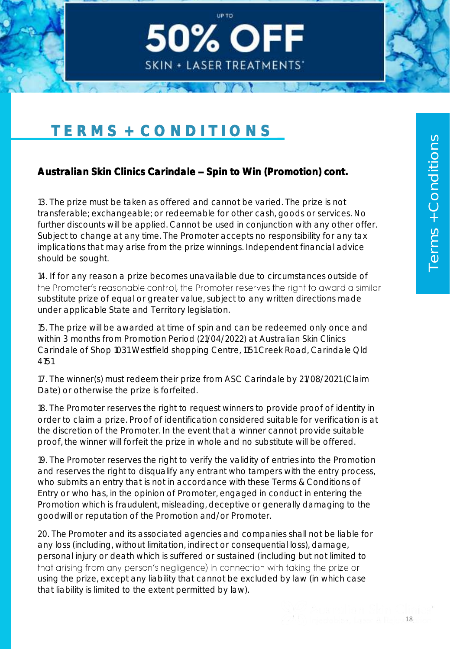

# Australian Skin Clinics Carindale - Spin to Win (Promotion) cont.

13. The prize must be taken as offered and cannot be varied. The prize is not transferable; exchangeable; or redeemable for other cash, goods or services. No further discounts will be applied. Cannot be used in conjunction with any other offer. Subject to change at any time. The Promoter accepts no responsibility for any tax implications that may arise from the prize winnings. Independent financial advice should be sought.

Up to

**50% OFF** 

**SKIN + LASER TREATMENTS'** 

14. If for any reason a prize becomes unavailable due to circumstances outside of the Promoter's reasonable control, the Promoter reserves the right to award a similar substitute prize of equal or greater value, subject to any written directions made under applicable State and Territory legislation.

15. The prize will be awarded at time of spin and can be redeemed only once and within 3 months from Promotion Period (21/04/2022) at Australian Skin Clinics Carindale of Shop 1031 Westfield shopping Centre, 1151 Creek Road, Carindale Qld 4151

17. The winner(s) must redeem their prize from ASC Carindale by 21/08/2021 (Claim Date) or otherwise the prize is forfeited.

18. The Promoter reserves the right to request winners to provide proof of identity in order to claim a prize. Proof of identification considered suitable for verification is at the discretion of the Promoter. In the event that a winner cannot provide suitable proof, the winner will forfeit the prize in whole and no substitute will be offered.

19. The Promoter reserves the right to verify the validity of entries into the Promotion and reserves the right to disqualify any entrant who tampers with the entry process, who submits an entry that is not in accordance with these Terms & Conditions of Entry or who has, in the opinion of Promoter, engaged in conduct in entering the Promotion which is fraudulent, misleading, deceptive or generally damaging to the goodwill or reputation of the Promotion and/or Promoter.

20. The Promoter and its associated agencies and companies shall not be liable for any loss (including, without limitation, indirect or consequential loss), damage, personal injury or death which is suffered or sustained (including but not limited to that arising from any person's negligence) in connection with taking the prize or using the prize, except any liability that cannot be excluded by law (in which case that liability is limited to the extent permitted by law).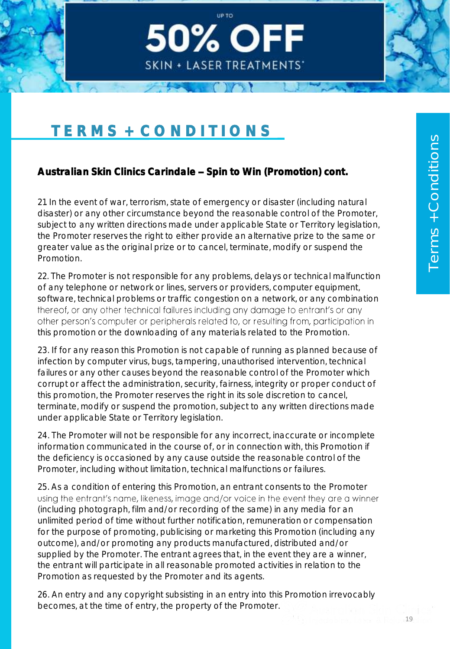# TERMS + CONDITIONS

# Australian Skin Clinics Carindale - Spin to Win (Promotion) cont.

21. In the event of war, terrorism, state of emergency or disaster (including natural disaster) or any other circumstance beyond the reasonable control of the Promoter, subject to any written directions made under applicable State or Territory legislation, the Promoter reserves the right to either provide an alternative prize to the same or greater value as the original prize or to cancel, terminate, modify or suspend the Promotion.

Up to

**50% OFF** 

**SKIN + LASER TREATMENTS'** 

22. The Promoter is not responsible for any problems, delays or technical malfunction of any telephone or network or lines, servers or providers, computer equipment, software, technical problems or traffic congestion on a network, or any combination thereof, or any other technical failures including any damage to entrant's or any other person's computer or peripherals related to, or resulting from, participation in this promotion or the downloading of any materials related to the Promotion.

23. If for any reason this Promotion is not capable of running as planned because of infection by computer virus, bugs, tampering, unauthorised intervention, technical failures or any other causes beyond the reasonable control of the Promoter which corrupt or affect the administration, security, fairness, integrity or proper conduct of this promotion, the Promoter reserves the right in its sole discretion to cancel, terminate, modify or suspend the promotion, subject to any written directions made under applicable State or Territory legislation.

24. The Promoter will not be responsible for any incorrect, inaccurate or incomplete information communicated in the course of, or in connection with, this Promotion if the deficiency is occasioned by any cause outside the reasonable control of the Promoter, including without limitation, technical malfunctions or failures.

25. As a condition of entering this Promotion, an entrant consents to the Promoter using the entrant's name, likeness, image and/or voice in the event they are a winner (including photograph, film and/or recording of the same) in any media for an unlimited period of time without further notification, remuneration or compensation for the purpose of promoting, publicising or marketing this Promotion (including any outcome), and/or promoting any products manufactured, distributed and/or supplied by the Promoter. The entrant agrees that, in the event they are a winner, the entrant will participate in all reasonable promoted activities in relation to the Promotion as requested by the Promoter and its agents.

26. An entry and any copyright subsisting in an entry into this Promotion irrevocably becomes, at the time of entry, the property of the Promoter.